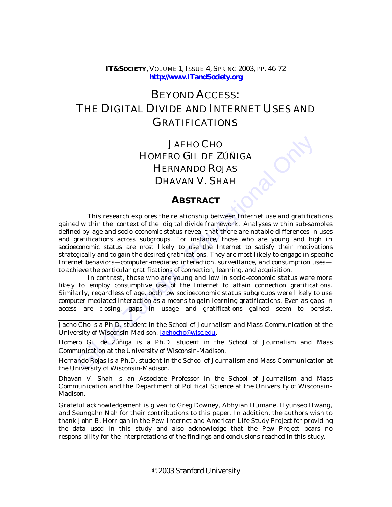## **IT&SOCIETY**, VOLUME 1, ISSUE 4, SPRING 2003, PP. 46-72 **<http://www.ITandSociety.org>**

# BEYOND ACCESS: THE DIGITAL DIVIDE AND INTERNET USES AND GRATIFICATIONS

# JAEHO CHO HOMERO GIL DE ZÚÑIGA HERNANDO ROJAS DHAVAN V. SHAH

## **ABSTRACT**

JAEHO CHO<br>
HOMERO GIL DE ZÚÑIGA<br>
HERNANDO ROJAS<br>
DHAVAN V. SHAH<br> **ABSTRACT**<br>
This research explores the relationship between Internet use and gratifica<br>
d within the context of the digital divide framework. Analyses withi *This research explores the relationship between Internet use and gratifications gained within the context of the digital divide framework. Analyses within sub-samples defined by age and socio-economic status reveal that there are notable differences in uses and gratifications across subgroups. For instance, those who are young and high in socioeconomic status are most likely to use the Internet to satisfy their motivations strategically and to gain the desired gratifications. They are most likely to engage in specific Internet behaviors—computer -mediated interaction, surveillance, and consumption uses to achieve the particular gratifications of connection, learning, and acquisition.* 

*In contrast, those who are young and low in socio -economic status were more likely to employ consumptive use of the Internet to attain connection gratifications. Similarly, regardless of age, both low socioeconomic status subgroups were likely to use computer-mediated interaction as a means to gain learning gratifications. Even as gaps in access are closing, gaps in usage and gratifications gained seem to persist.* 

 $\overline{\phantom{a}}$  , where  $\overline{\phantom{a}}$ 

Homero Gil de Zúñiga is a Ph.D. student in the School of Journalism and Mass Communication at the University of Wisconsin-Madison.

Hernando Rojas is a Ph.D. student in the School of Journalism and Mass Communication at the University of Wisconsin-Madison.

Dhavan V. Shah is an Associate Professor in the School of Journalism and Mass Communication and the Department of Political Science at the University of Wisconsin-Madison.

*Grateful acknowledgement is given to Greg Downey, Abhyian Humane, Hyunseo Hwang, and Seungahn Nah for their contributions to this paper. In addition, the authors wish to thank John B. Horrigan in the Pew Internet and American Life Study Project for providing the data used in this study and also acknowledge that the Pew Project bears no responsibility for the interpretations of the findings and conclusions reached in this study*.

Jaeho Cho is a Ph.D. student in the School of Journalism and Mass Communication at the University of Wisconsin-Madison. jaehocho@wisc.edu.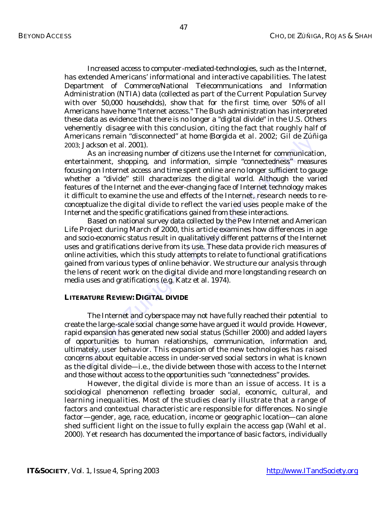Increased access to computer-mediated-technologies, such as the Internet, has extended Americans' informational and interactive capabilities. The latest Department of Commerce/National Telecommunications and Information Administration (NTIA) data (collected as part of the Current Population Survey with over 50,000 households), show that for the first time, over 50% of all Americans have home "Internet access." The Bush administration has interpreted these data as evidence that there is no longer a "digital divide" in the U.S. Others vehemently disagree with this conclusion, citing the fact that roughly half of Americans remain "disconnected" at home (Borgida et al. 2002; Gil de Zúñiga 2003; Jackson et al. 2001).

As an increasing number of citizens use the Internet for communication, entertainment, shopping, and information, simple "connectedness" measures focusing on Internet access and time spent online are no longer sufficient to gauge whether a "divide" still characterizes the digital world. Although the varied features of the Internet and the ever-changing face of Internet technology makes it difficult to examine the use and effects of the Internet, research needs to reconceptualize the digital divide to reflect the varied uses people make of the Internet and the specific gratifications gained from these interactions.

ericans remain assomenced at nome usorgata et at. *zooz*; Gui de Zuni<br>
as, Jackson et al. 2001).<br>
As an increasing number of citizens use the Internet for communication<br>
As an increasing number of citizens use the Internet Based on national survey data collected by the Pew Internet and American Life Project during March of 2000, this article examines how differences in age and socio-economic status result in qualitatively different patterns of the Internet uses and gratifications derive from its use. These data provide rich measures of online activities, which this study attempts to relate to functional gratifications gained from various types of online behavior. We structure our analysis through the lens of recent work on the digital divide and more longstanding research on media uses and gratifications (e.g. Katz et al. 1974).

## **LITERATURE REVIEW: DIGITAL DIVIDE**

The Internet and cyberspace may not have fully reached their potential to create the large-scale social change some have argued it would provide. However, rapid expansion has generated new social status (Schiller 2000) and added layers of opportunities to human relationships, communication, information and, ultimately, user behavior. This expansion of the new technologies has raised concerns about equitable access in under-served social sectors in what is known as the digital divide—i.e., the divide between those with access to the Internet and those without access to the opportunities such "connectedness" provides.

However, the digital divide is more than an issue of access. It is a sociological phenomenon reflecting broader social, economic, cultural, and learning inequalities. Most of the studies clearly illustrate that a range of factors and contextual characteristic are responsible for differences. No single factor—gender, age, race, education, income or geographic location—can alone shed sufficient light on the issue to fully explain the access gap (Wahl et al. 2000). Yet research has documented the importance of basic factors, individually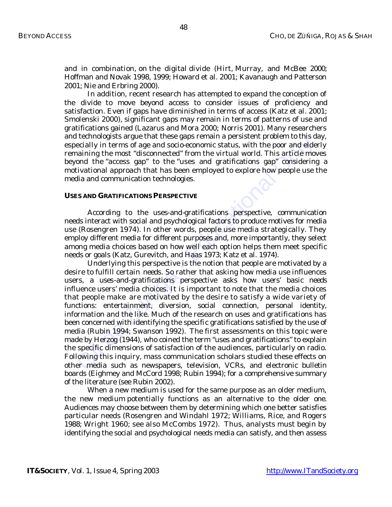and in combination, on the digital divide (Hirt, Murray, and McBee 2000; Hoffman and Novak 1998, 1999; Howard et al. 2001; Kavanaugh and Patterson 2001; Nie and Erbring 2000).

In addition, recent research has attempted to expand the conception of the divide to move beyond access to consider issues of proficiency and satisfaction. Even if gaps have diminished in terms of access (Katz et al. 2001; Smolenski 2000), significant gaps may remain in terms of patterns of use and gratifications gained (Lazarus and Mora 2000; Norris 2001). Many researchers and technologists argue that these gaps remain a persistent problem to this day, especially in terms of age and socio-economic status, with the poor and elderly remaining the most "disconnected" from the virtual world. This article moves beyond the "access gap" to the "uses and gratifications gap" considering a motivational approach that has been employed to explore how people use the media and communication technologies.

### **USES AND GRATIFICATIONS PERSPECTIVE**

According to the uses-and-gratifications perspective, communication needs interact with social and psychological factors to produce motives for media use (Rosengren 1974). In other words, people use media strategically. They employ different media for different purposes and, more importantly, they select among media choices based on how well each option helps them meet specific needs or goals (Katz, Gurevitch, and Haas 1973; Katz et al. 1974).

is exercution and per unit uses gays remain a persistent pronounce and education is the example in the moor and educations and station and the "access agap" to the "uses and gratifications gap" considering the mord the "ac Underlying this perspective is the notion that people are motivated by a desire to fulfill certain *needs*. So rather that asking how media use influences users, a uses-and-gratifications perspective asks how users' basic needs influence users' media choices. It is important to note that the media choices that people make are motivated by the desire to satisfy a wide variety of functions: entertainment, diversion, social connection, personal identity, information and the like. Much of the research on uses and gratifications has been concerned with identifying the specific gratifications satisfied by the use of media (Rubin 1994; Swanson 1992). The first assessments on this topic were made by Herzog (1944), who coined the term "uses and gratifications" to explain the specific dimensions of satisfaction of the audiences, particularly on radio. Following this inquiry, mass communication scholars studied these effects on other media such as newspapers, television, VCRs, and electronic bulletin boards (Eighmey and McCord 1998; Rubin 1994); for a comprehensive summary of the literature (see Rubin 2002).

When a new medium is used for the same purpose as an older medium, the new medium potentially functions as an alternative to the older one. Audiences may choose between them by determining which one better satisfies particular needs (Rosengren and Windahl 1972; Williams, Rice, and Rogers 1988; Wright 1960; see also McCombs 1972). Thus, analysts must begin by identifying the social and psychological needs media can satisfy, and then assess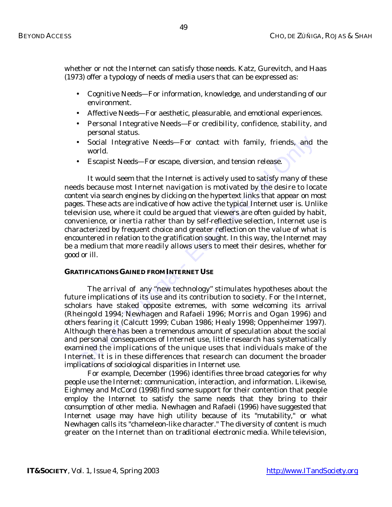whether or not the Internet can satisfy those needs. Katz, Gurevitch, and Haas (1973) offer a typology of needs of media users that can be expressed as:

- *Cognitive Needs*—For information, knowledge, and understanding of our environment.
- *Affective Needs*—For aesthetic, pleasurable, and emotional experiences.
- *Personal Integrative Needs*—For credibility, confidence, stability, and personal status.
- *Social Integrative Needs*—For contact with family, friends, and the world.
- *Escapist Needs*—For escape, diversion, and tension release.

• Social Integrative Needs—For contact with family, friends, and world.<br>• Escapist Needs—For escape, diversion, and tension release.<br>• It would seem that the Internet is actively used to satisfy many of the<br>ds because mos It would seem that the Internet is actively used to satisfy many of these needs because most Internet navigation is motivated by the desire to locate content via search engines by clicking on the hypertext links that appear on most pages. These acts are indicative of how active the typical Internet user is. Unlike television use, where it could be argued that viewers are often guided by habit, convenience, or inertia rather than by self-reflective selection, Internet use is characterized by frequent choice and greater reflection on the value of what is encountered in relation to the gratification sought. In this way, the Internet may be a medium that more readily allows users to meet their desires, whether for good or ill.

## **GRATIFICATIONS GAINED FROM INTERNET USE**

The arrival of any "new technology" stimulates hypotheses about the future implications of its use and its contribution to society. For the Internet, scholars have staked opposite extremes, with some welcoming its arrival (Rheingold 1994; Newhagen and Rafaeli 1996; Morris and Ogan 1996) and others fearing it (Calcutt 1999; Cuban 1986; Healy 1998; Oppenheimer 1997). Although there has been a tremendous amount of speculation about the social and personal consequences of Internet use, little research has systematically examined the implications of the unique uses that individuals make of the Internet. It is in these differences that research can document the broader implications of sociological disparities in Internet use.

For example, December (1996) identifies three broad categories for why people use the Internet: communication, interaction, and information. Likewise, Eighmey and McCord (1998) find some support for their contention that people employ the Internet to satisfy the same needs that they bring to their consumption of other media. Newhagen and Rafaeli (1996) have suggested that Internet usage may have high utility because of its "mutability," or what Newhagen calls its "chameleon-like character." The diversity of content is much greater on the Internet than on traditional electronic media. While television,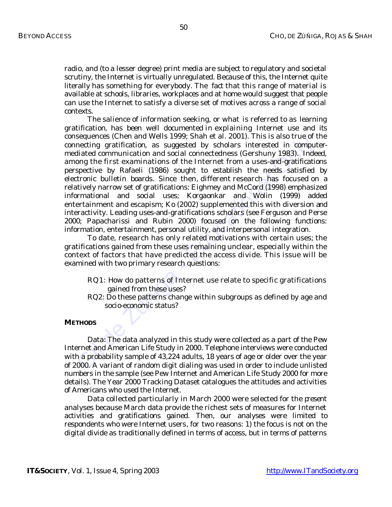radio, and (to a lesser degree) print media are subject to regulatory and societal scrutiny, the Internet is virtually unregulated. Because of this, the Internet quite literally has something for everybody. The fact that this range of material is available at schools, libraries, workplaces and at home would suggest that people can use the Internet to satisfy a diverse set of motives across a range of social contexts.

sequences (coler and wear stress). Shart et al. 2001). Inis is also true or<br>necting gratification, as suggested by scholars interested in computing<br>diated communication and social connectedness (Gershuny 1983). Inde<br>one th The salience of information seeking, or what is referred to as *learning gratification*, has been well documented in explaining Internet use and its consequences (Chen and Wells 1999; Shah et al. 2001). This is also true of the *connecting gratification*, as suggested by scholars interested in computermediated communication and social connectedness (Gershuny 1983). Indeed, among the first examinations of the Internet from a uses-and-gratifications perspective by Rafaeli (1986) sought to establish the needs satisfied by electronic bulletin boards. Since then, different research has focused on a relatively narrow set of gratifications: Eighmey and McCord (1998) emphasized informational and social uses; Korgaonkar and Wolin (1999) added entertainment and escapism; Ko (2002) supplemented this with diversion and interactivity. Leading uses-and-gratifications scholars (see Ferguson and Perse 2000; Papacharissi and Rubin 2000) focused on the following functions: information, entertainment, personal utility, and interpersonal integration.

To date, research has only related motivations with certain uses; the gratifications gained from these uses remaining unclear, especially within the context of factors that have predicted the access divide. This issue will be examined with two primary research questions:

- *RQ1: How do patterns of Internet use relate to specific gratifications gained from these uses?*
- *RQ2: Do these patterns change within subgroups as defined by age and socio-economic status?*

### **METHODS**

*Data:* The data analyzed in this study were collected as a part of the Pew Internet and American Life Study in 2000. Telephone interviews were conducted with a probability sample of 43,224 adults, 18 years of age or older over the year of 2000. A variant of random digit dialing was used in order to include unlisted numbers in the sample (see Pew Internet and American Life Study 2000 for more details). The Year 2000 Tracking Dataset catalogues the attitudes and activities of Americans who used the Internet.

Data collected particularly in March 2000 were selected for the present analyses because March data provide the richest sets of measures for Internet activities and gratifications gained. Then, our analyses were limited to respondents who were Internet users, for two reasons: 1) the focus is not on the digital divide as traditionally defined in terms of access, but in terms of patterns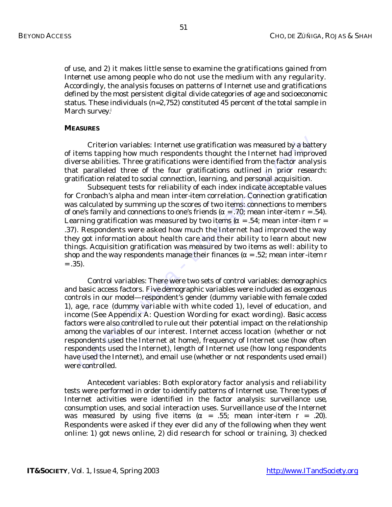of use, and 2) it makes little sense to examine the gratifications gained from Internet use among people who do not use the medium with any regularity. Accordingly, the analysis focuses on patterns of Internet use and gratifications defined by the most persistent digital divide categories of age and socioeconomic status. These individuals (n=2,752) constituted 45 percent of the total sample in March survey.<sup>i</sup>

## **MEASURES**

*Criterion variables*: Internet use gratification was measured by a battery of items tapping how much respondents thought the Internet had improved diverse abilities. Three gratifications were identified from the factor analysis that paralleled three of the four gratifications outlined in prior research: gratification related to social connection, learning, and personal acquisition.

Subsequent tests for reliability of each index indicate acceptable values for Cronbach's alpha and mean inter-item correlation. Connection gratification was calculated by summing up the scores of two items: connections to members of one's family and connections to one's friends ( $\alpha = .70$ ; mean inter-item  $r = .54$ ). Learning gratification was measured by two items  $(\alpha = 0.54)$ ; mean inter-item  $r = 0$ .37). Respondents were asked how much the Internet had improved the way they got information about health care and their ability to learn about new things. Acquisition gratification was measured by two items as well: ability to shop and the way respondents manage their finances ( $\alpha$  = .52; mean inter-item *r*  $=.35).$ 

*Criterion variables*: Internet use gratification was measured by a batt<br>tems tapping how much respondents thought the Internet had improverse a<br>bilities. Three gratifications were identified from the factor analy<br>tificat *Control variables*: There were two sets of control variables: demographics and basic access factors. Five demographic variables were included as exogenous controls in our model—respondent's gender (dummy variable with female coded 1), age, race (dummy variable with white coded 1), level of education, and income (See Appendix A: Question Wording for exact wording). Basic access factors were also controlled to rule out their potential impact on the relationship among the variables of our interest. Internet access location (whether or not respondents used the Internet at home), frequency of Internet use (how often respondents used the Internet), length of Internet use (how long respondents have used the Internet), and email use (whether or not respondents used email) were controlled.

*Antecedent variables*: Both exploratory factor analysis and reliability tests were performed in order to identify patterns of Internet use. Three types of Internet activities were identified in the factor analysis: surveillance use, consumption uses, and social interaction uses. Surveillance use of the Internet was measured by using five items ( $\alpha$  = .55; mean inter-item  $r$  = .20). Respondents were asked if they ever did any of the following when they went online: 1) got news online, 2) did research for school or training, 3) checked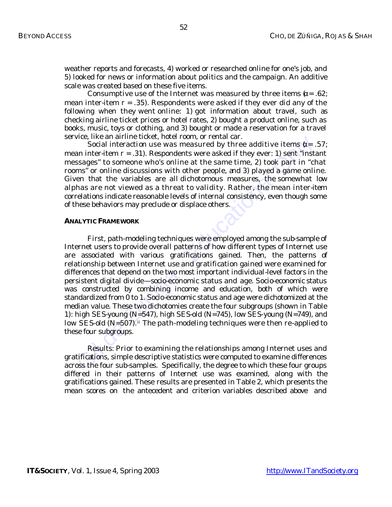weather reports and forecasts, 4) worked or researched online for one's job, and 5) looked for news or information about politics and the campaign. An additive scale was created based on these five items.

Consumptive use of the Internet was measured by three items  $(\alpha = 0.62)$ ; mean inter-item  $r = .35$ ). Respondents were asked if they ever did any of the following when they went online: 1) got information about travel, such as checking airline ticket prices or hotel rates, 2) bought a product online, such as books, music, toys or clothing, and 3) bought or made a reservation for a travel service, like an airline ticket, hotel room, or rental car.

Social interaction use was measured by three additive items  $\alpha = .57$ ; mean inter-item *r* = .31). Respondents were asked if they ever: 1) sent "instant messages" to someone who's online at the same time, 2) took part in "chat rooms" or online discussions with other people, and 3) played a game online. Given that the variables are all dichotomous measures, the somewhat low alphas are not viewed as a threat to validity. Rather, the mean inter-item correlations indicate reasonable levels of internal consistency, even though some of these behaviors may preclude or displace others.

### **ANALYTIC FRAMEWORK**

vice, like an arrime ticket, notel room, or rental car.<br>
Social interaction use was measured by three additive items ( $x = 0$ ) and "instessages" to someone who's online at the same time, 2) took part in "chem smaller and t First, path-modeling techniques were employed among the sub-sample of Internet users to provide overall patterns of how different types of Internet use are associated with various gratifications gained. Then, the patterns of relationship between Internet use and gratification gained were examined for differences that depend on the two most important individual-level factors in the persistent digital divide—socio-economic status and age. Socio-economic status was constructed by combining income and education, both of which were standardized from 0 to 1. Socio-economic status and age were dichotomized at the median value. These two dichotomies create the four subgroups (shown in Table 1): high SES-young (N=547), high SES-old (N=745), low SES-young (N=749), and low SES-old  $(N=507)$ .<sup>ii</sup> The path-modeling techniques were then re-applied to these four subgroups.

*Results:* Prior to examining the relationships among Internet uses and gratifications, simple descriptive statistics were computed to examine differences across the four sub-samples. Specifically, the degree to which these four groups differed in their patterns of Internet use was examined, along with the gratifications gained. These results are presented in Table 2, which presents the mean scores on the antecedent and criterion variables described above and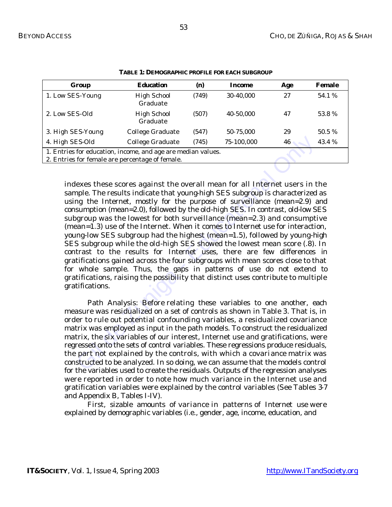| Group                                                                                                           | <b>Education</b>               | (n)   | Income     | Age | Female |  |
|-----------------------------------------------------------------------------------------------------------------|--------------------------------|-------|------------|-----|--------|--|
| 1. Low SES-Young                                                                                                | <b>High School</b><br>Graduate | (749) | 30-40.000  | 27  | 54.1 % |  |
| 2. Low SES-Old                                                                                                  | <b>High School</b><br>Graduate | (507) | 40-50.000  | 47  | 53.8%  |  |
| 3. High SES-Young                                                                                               | College Graduate               | (547) | 50-75,000  | 29  | 50.5 % |  |
| 4. High SES-Old                                                                                                 | College Graduate               | (745) | 75-100,000 | 46  | 43.4 % |  |
| 1. Entries for education, income, and age are median values.<br>2. Entries for female are percentage of female. |                                |       |            |     |        |  |

**TABLE 1: DEMOGRAPHIC PROFILE FOR EACH SUBGROUP**

ES-Old College Graduate (745) 75-100,000 46<br>
for education, income, and age are median values.<br>
for female are percentage of female.<br>
for female are percentage of female.<br>
exes these scores against the overall mean for al indexes these scores against the overall mean for all Internet users in the sample. The results indicate that young-high SES subgroup is characterized as using the Internet, mostly for the purpose of surveillance (mean=2.9) and consumption (mean=2.0), followed by the old-high SES. In contrast, old-low SES subgroup was the lowest for both surveillance (mean=2.3) and consumptive (mean=1.3) use of the Internet. When it comes to Internet use for interaction, young-low SES subgroup had the highest (mean=1.5), followed by young-high SES subgroup while the old-high SES showed the lowest mean score (.8). In contrast to the results for Internet uses, there are few differences in gratifications gained across the four subgroups with mean scores close to that for whole sample. Thus, the gaps in patterns of use do not extend to gratifications, raising the possibility that distinct uses contribute to multiple gratifications.

*Path Analysis:* Before relating these variables to one another, each measure was residualized on a set of controls as shown in Table 3. That is, in order to rule out potential confounding variables, a residualized covariance matrix was employed as input in the path models. To construct the residualized matrix, the six variables of our interest, Internet use and gratifications, were regressed onto the sets of control variables. These regressions produce residuals, the part not explained by the controls, with which a covariance matrix was constructed to be analyzed. In so doing, we can assume that the models control for the variables used to create the residuals. Outputs of the regression analyses were reported in order to note how much variance in the Internet use and gratification variables were explained by the control variables (See Tables 3-7 and Appendix B, Tables I-IV).

First, sizable amounts of variance in patterns of Internet use were explained by demographic variables (i.e., gender, age, income, education, and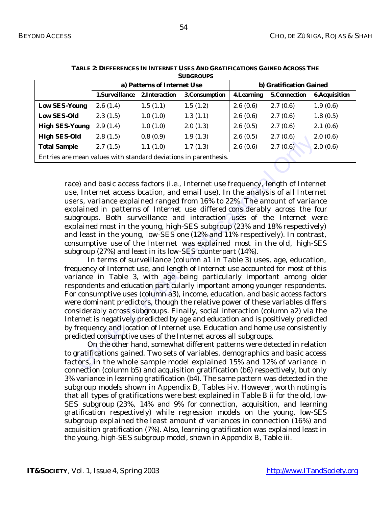| <b>SUBGROUPS</b>                                                 |                             |                |                |                         |                     |                      |  |  |
|------------------------------------------------------------------|-----------------------------|----------------|----------------|-------------------------|---------------------|----------------------|--|--|
|                                                                  | a) Patterns of Internet Use |                |                | b) Gratification Gained |                     |                      |  |  |
|                                                                  | 1.Surveillance              | 2. Interaction | 3. Consumption | <b>4.Learning</b>       | <b>5.Connection</b> | <b>6.Acquisition</b> |  |  |
| <b>Low SES-Young</b>                                             | 2.6(1.4)                    | 1.5(1.1)       | 1.5(1.2)       | 2.6(0.6)                | 2.7(0.6)            | 1.9(0.6)             |  |  |
| <b>Low SES-Old</b>                                               | 2.3(1.5)                    | 1.0(1.0)       | 1.3(1.1)       | 2.6(0.6)                | 2.7(0.6)            | 1.8(0.5)             |  |  |
| <b>High SES-Young</b>                                            | 2.9(1.4)                    | 1.0(1.0)       | 2.0(1.3)       | 2.6(0.5)                | 2.7(0.6)            | 2.1(0.6)             |  |  |
| <b>High SES-Old</b>                                              | 2.8(1.5)                    | 0.8(0.9)       | 1.9(1.3)       | 2.6(0.5)                | 2.7(0.6)            | 2.0(0.6)             |  |  |
| <b>Total Sample</b>                                              | 2.7(1.5)                    | 1.1(1.0)       | 1.7(1.3)       | 2.6(0.6)                | 2.7(0.6)            | 2.0(0.6)             |  |  |
| Entries are mean values with standard deviations in parenthesis. |                             |                |                |                         |                     |                      |  |  |

|  |  | TABLE 2: DIFFERENCES IN INTERNET USES AND GRATIFICATIONS GAINED ACROSS THE |  |
|--|--|----------------------------------------------------------------------------|--|
|  |  | $C$ in $C$ n $C$ in $C$                                                    |  |

race) and basic access factors (i.e., Internet use frequency, length of Internet use, Internet access location, and email use). In the analysis of all Internet users, variance explained ranged from 16% to 22%. The amount of variance explained in patterns of Internet use differed considerably across the four subgroups. Both surveillance and interaction uses of the Internet were explained most in the young, high-SES subgroup (23% and 18% respectively) and least in the young, low-SES one (12% and 11% respectively). In contrast, consumptive use of the Internet was explained most in the old, high-SES subgroup (27%) and least in its low-SES counterpart (14%).

**a** 28 (1.5) 0.8 (0.9) 1.9 (1.5) 1.9 (1.5) 2.8 (0.5) 2.7 (1.6) 2.8 (2.7 (1.6) 2.7 (1.5) 2.7 (1.6) 2.7 (1.6) 2.7 (1.6) 2.7 (1.6) 2.7 (1.6) 2.7 (1.6) 2.7 (1.6) 2.7 (1.6) 2.7 (1.6) 2.7 (1.6) 2.7 (1.6) 2.7 (1.6) 2.7 (1.6) 2.7 In terms of surveillance (column a1 in Table 3) uses, age, education, frequency of Internet use, and length of Internet use accounted for most of this variance in Table 3, with age being particularly important among older respondents and education particularly important among younger respondents. For consumptive uses (column a3), income, education, and basic access factors were dominant predictors, though the relative power of these variables differs considerably across subgroups. Finally, social interaction (column a2) via the Internet is negatively predicted by age and education and is positively predicted by frequency and location of Internet use. Education and home use consistently predicted consumptive uses of the Internet across all subgroups.

On the other hand, somewhat different patterns were detected in relation to gratifications gained. Two sets of variables, demographics and basic access factors, in the whole sample model explained 15% and 12% of variance in connection (column b5) and acquisition gratification (b6) respectively, but only 3% variance in learning gratification (b4). The same pattern was detected in the subgroup models shown in Appendix B, Tables i-iv. However, worth noting is that all types of gratifications were best explained in Table B ii for the old, low-SES subgroup (23%, 14% and 9% for connection, acquisition, and learning gratification respectively) while regression models on the young, low-SES subgroup explained the least amount of variances in connection (16%) and acquisition gratification (7%). Also, learning gratification was explained least in the young, high-SES subgroup model, shown in Appendix B, Table iii.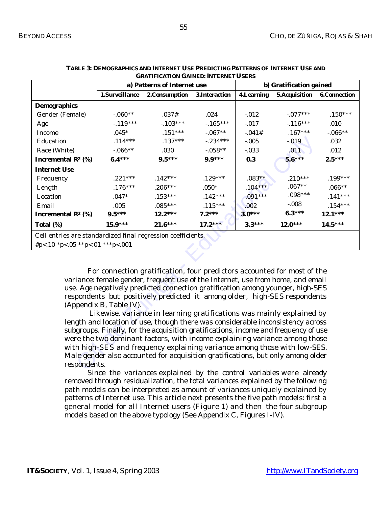| <b>GRATIFICATION GAINED: INTERNET USERS</b>                           |                                                                                                                                                                   |                                                                                                                                                              |                |                         |                      |                     |  |  |
|-----------------------------------------------------------------------|-------------------------------------------------------------------------------------------------------------------------------------------------------------------|--------------------------------------------------------------------------------------------------------------------------------------------------------------|----------------|-------------------------|----------------------|---------------------|--|--|
|                                                                       |                                                                                                                                                                   | a) Patterns of Internet use                                                                                                                                  |                | b) Gratification gained |                      |                     |  |  |
|                                                                       | 1.Surveillance                                                                                                                                                    | 2. Consumption                                                                                                                                               | 3. Interaction | <b>4.Learning</b>       | <b>5.Acquisition</b> | <b>6.Connection</b> |  |  |
| <b>Demographics</b>                                                   |                                                                                                                                                                   |                                                                                                                                                              |                |                         |                      |                     |  |  |
| Gender (Female)                                                       | $-.060**$                                                                                                                                                         | .037#                                                                                                                                                        | $.024\,$       | $-0.012$                | $-.077***$           | $.150***$           |  |  |
| Age                                                                   | $-119***$                                                                                                                                                         | $-103***$                                                                                                                                                    | $-165***$      | $-0.017$                | $-116***$            | .010                |  |  |
| Income                                                                | $.045*$                                                                                                                                                           | $.151***$                                                                                                                                                    | $-.067**$      | $-.041#$                | $.167***$            | $-.066**$           |  |  |
| Education                                                             | $.114***$                                                                                                                                                         | $.137***$                                                                                                                                                    | $-.234***$     | $-.005$                 | $-0.019$             | $.032\,$            |  |  |
| Race (White)                                                          | $-.066**$                                                                                                                                                         | .030                                                                                                                                                         | $-0.058**$     | $-.033$                 | .011                 | .012                |  |  |
| Incremental $\mathbb{R}^2$ (%)                                        | $6.4***$                                                                                                                                                          | $9.5***$                                                                                                                                                     | $9.9***$       | 0.3                     | $5.6***$             | $2.5***$            |  |  |
| <b>Internet Use</b>                                                   |                                                                                                                                                                   |                                                                                                                                                              |                |                         |                      |                     |  |  |
| Frequency                                                             | $.221***$                                                                                                                                                         | $.142***$                                                                                                                                                    | $.129***$      | $.083**$                | $.210***$            | $.199***$           |  |  |
| Length                                                                | $.176***$                                                                                                                                                         | $.206***$                                                                                                                                                    | $.050*$        | $.104***$               | $.067**$             | $.066**$            |  |  |
| Location                                                              | $.047*$                                                                                                                                                           | $.153***$                                                                                                                                                    | $.142***$      | $.091***$               | $.098***$            | $.141***$           |  |  |
| Email                                                                 | .005                                                                                                                                                              | $.085***$                                                                                                                                                    | $.115***$      | .002                    | $-.008$              | $.154***$           |  |  |
| Incremental $\mathbb{R}^2$ (%)                                        | $9.5***$                                                                                                                                                          | $12.2***$                                                                                                                                                    | $7.2***$       | $3.0***$                | $6.3***$             | $12.1***$           |  |  |
| Total (%)                                                             | $15.9***$                                                                                                                                                         | $21.6***$                                                                                                                                                    | $17.2***$      | $3.3***$                | $12.0***$            | $14.5***$           |  |  |
| Cell entries are standardized final regression coefficients.          |                                                                                                                                                                   |                                                                                                                                                              |                |                         |                      |                     |  |  |
| #p<.10 *p<.05 **p<.01 ***p<.001                                       |                                                                                                                                                                   |                                                                                                                                                              |                |                         |                      |                     |  |  |
|                                                                       |                                                                                                                                                                   |                                                                                                                                                              |                |                         |                      |                     |  |  |
|                                                                       |                                                                                                                                                                   |                                                                                                                                                              |                |                         |                      |                     |  |  |
|                                                                       |                                                                                                                                                                   | For connection gratification, four predictors accounted for most of the                                                                                      |                |                         |                      |                     |  |  |
|                                                                       |                                                                                                                                                                   | variance: female gender, frequent use of the Internet, use from home, and email                                                                              |                |                         |                      |                     |  |  |
|                                                                       |                                                                                                                                                                   | use. Age negatively predicted connection gratification among younger, high-SES                                                                               |                |                         |                      |                     |  |  |
|                                                                       |                                                                                                                                                                   | respondents but positively predicted it among older, high-SES respondents                                                                                    |                |                         |                      |                     |  |  |
|                                                                       | (Appendix B, Table IV).                                                                                                                                           |                                                                                                                                                              |                |                         |                      |                     |  |  |
| Likewise, variance in learning gratifications was mainly explained by |                                                                                                                                                                   |                                                                                                                                                              |                |                         |                      |                     |  |  |
|                                                                       | length and location of use, though there was considerable inconsistency across                                                                                    |                                                                                                                                                              |                |                         |                      |                     |  |  |
|                                                                       | subgroups. Finally, for the acquisition gratifications, income and frequency of use<br>were the two dominant factors, with income explaining variance among those |                                                                                                                                                              |                |                         |                      |                     |  |  |
|                                                                       |                                                                                                                                                                   |                                                                                                                                                              |                |                         |                      |                     |  |  |
|                                                                       |                                                                                                                                                                   | with high-SES and frequency explaining variance among those with low-SES.<br>Male gender also accounted for acquisition gratifications, but only among older |                |                         |                      |                     |  |  |
|                                                                       |                                                                                                                                                                   |                                                                                                                                                              |                |                         |                      |                     |  |  |
| respondents.                                                          |                                                                                                                                                                   |                                                                                                                                                              |                |                         |                      |                     |  |  |

| TABLE 3: DEMOGRAPHICS AND INTERNET USE PREDICTING PATTERNS OF INTERNET USE AND |  |
|--------------------------------------------------------------------------------|--|
| <b>GRATIFICATION GAINED: INTERNET USERS</b>                                    |  |

Since the variances explained by the control variables were already removed through residualization, the total variances explained by the following path models can be interpreted as amount of variances uniquely explained by patterns of Internet use. This article next presents the five path models: first a general model for all Internet users (Figure 1) and then the four subgroup models based on the above typology (See Appendix C, Figures I-IV).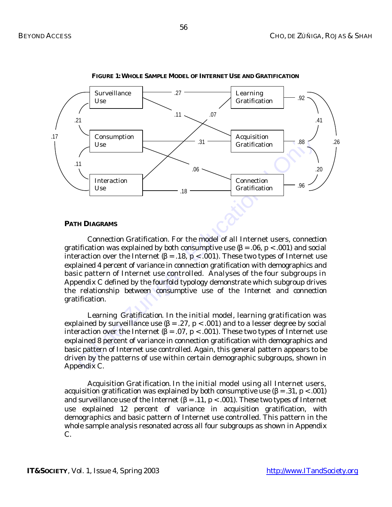

**FIGURE 1: WHOLE SAMPLE MODEL OF INTERNET USE AND GRATIFICATION**

## **PATH DIAGRAMS**

 *Connection Gratification.* For the model of all Internet users, connection gratification was explained by both consumptive use  $(\beta = .06, p < .001)$  and social interaction over the Internet  $(β = .18, p < .001)$ . These two types of Internet use explained 4 percent of variance in connection gratification with demographics and basic pattern of Internet use controlled. Analyses of the four subgroups in Appendix C defined by the fourfold typology demonstrate which subgroup drives the relationship between consumptive use of the Internet and connection gratification.

 *Learning Gratification*. In the initial model, learning gratification was explained by surveillance use  $(\beta = .27, p < .001)$  and to a lesser degree by social interaction over the Internet (β = .07, p < .001). These two types of Internet use explained 8 percent of variance in connection gratification with demographics and basic pattern of Internet use controlled. Again, this general pattern appears to be driven by the patterns of use within certain demographic subgroups, shown in Appendix C.

*Acquisition Gratification*. In the initial model using all Internet users, acquisition gratification was explained by both consumptive use  $(\beta = .31, p < .001)$ and surveillance use of the Internet ( $\beta$  = .11, p < .001). These two types of Internet use explained 12 percent of variance in acquisition gratification, with demographics and basic pattern of Internet use controlled. This pattern in the whole sample analysis resonated across all four subgroups as shown in Appendix C.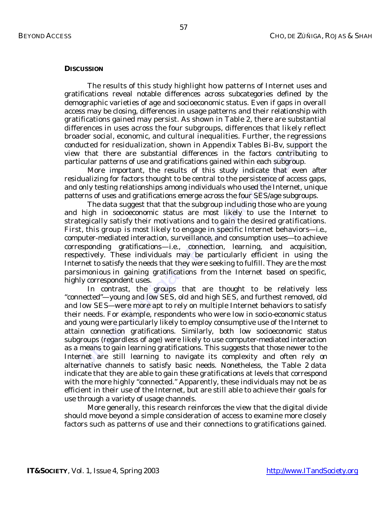## **DISCUSSION**

The results of this study highlight how patterns of Internet uses and gratifications reveal notable differences across subcategories defined by the demographic varieties of age and socioeconomic status. Even if gaps in overall access may be closing, differences in usage patterns and their relationship with gratifications gained may persist. As shown in Table 2, there are substantial differences in uses across the four subgroups, differences that likely reflect broader social, economic, and cultural inequalities. Further, the regressions conducted for residualization, shown in Appendix Tables Bi-Bv, support the view that there are substantial differences in the factors contributing to particular patterns of use and gratifications gained within each subgroup.

More important, the results of this study indicate that even after residualizing for factors thought to be central to the persistence of access gaps, and only testing relationships among individuals who used the Internet, unique patterns of uses and gratifications emerge across the four SES/age subgroups.

The data suggest that that the subgroup including those who are young and high in socioeconomic status are most likely to use the Internet to strategically satisfy their motivations and to gain the desired gratifications. First, this group is most likely to engage in specific Internet behaviors—i.e., computer-mediated interaction, surveillance, and consumption uses—to achieve corresponding gratifications—i.e., connection, learning, and acquisition, respectively. These individuals may be particularly efficient in using the Internet to satisfy the needs that they were seeking to fulfill. They are the most parsimonious in gaining gratifications from the Internet based on specific, highly correspondent uses.

ater social, economic, and culural inequalities. Furture, the regression deducted for residualization, shown in Appendix Tables Bi-Bv, support twe that there are substantial differences in the factors contributing relation In contrast, the groups that are thought to be relatively less "connected"—young and low SES, old and high SES, and furthest removed, old and low SES—were more apt to rely on multiple Internet behaviors to satisfy their needs. For example, respondents who were low in socio-economic status and young were particularly likely to employ consumptive use of the Internet to attain connection gratifications. Similarly, both low socioeconomic status subgroups (regardless of age) were likely to use computer-mediated interaction as a means to gain learning gratifications. This suggests that those newer to the Internet are still learning to navigate its complexity and often rely on alternative channels to satisfy basic needs. Nonetheless, the Table 2 data indicate that they are able to gain these gratifications at levels that correspond with the more highly "connected." Apparently, these individuals may not be as efficient in their use of the Internet, but are still able to achieve their goals for use through a variety of usage channels.

More generally, this research reinforces the view that the digital divide should move beyond a simple consideration of access to examine more closely factors such as patterns of use and their connections to gratifications gained.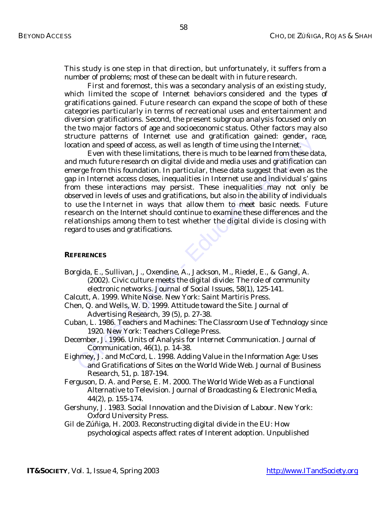This study is one step in that direction, but unfortunately, it suffers from a number of problems; most of these can be dealt with in future research.

First and foremost, this was a secondary analysis of an existing study, which limited the scope of Internet behaviors considered and the types of gratifications gained. Future research can expand the scope of both of these categories particularly in terms of recreational uses and entertainment and diversion gratifications. Second, the present subgroup analysis focused only on the two major factors of age and socioeconomic status. Other factors may also structure patterns of Internet use and gratification gained: gender, race, location and speed of access, as well as length of time using the Internet.

Externe patterns or meteric use and graduration gamed: generative patterns of methelmon and speed of access, as well as length of time using the Internet. For the luminosity and much future research on digital divide and m Even with these limitations, there is much to be learned from these data, and much future research on digital divide and media uses and gratification can emerge from this foundation. In particular, these data suggest that even as the gap in Internet access closes, inequalities in Internet use and individual s' gains from these interactions may persist. These inequalities may not only be observed in levels of uses and gratifications, but also in the ability of individuals to use the Internet in ways that allow them to meet basic needs. Future research on the Internet should continue to examine these differences and the relationships among them to test whether the digital divide is closing with regard to uses and gratifications.

## **REFERENCES**

- Borgida, E., Sullivan, J., Oxendine, A., Jackson, M., Riedel, E., & Gangl, A. (2002). Civic culture meets the digital divide: The role of community electronic networks. *Journal of Social Issues, 58*(1), 125-141.
- Calcutt, A. 1999. *White Noise*. New York: Saint Martiris Press.
- Chen, Q. and Wells, W. D. 1999. Attitude toward the Site. *Journal of Advertising Research,* 39 (5), p. 27-38.
- Cuban, L. 1986. *Teachers and Machines: The Classroom Use of Technology since 1920*. New York: Teachers College Press.
- December, J. 1996. Units of Analysis for Internet Communication. *Journal of Communication,* 46(1), p. 14-38.
- Eighmey, J. and McCord, L. 1998. Adding Value in the Information Age: Uses and Gratifications of Sites on the World Wide Web. *Journal of Business Research*, 51, p. 187-194.
- Ferguson, D. A. and Perse, E. M. 2000. The World Wide Web as a Functional Alternative to Television. *Journal of Broadcasting & Electronic Media*, 44(2), p. 155-174.
- Gershuny, J. 1983. *Social Innovation and the Division of Labour*. New York: Oxford University Press.
- Gil de Zúñiga, H. 2003. Reconstructing digital divide in the EU: How psychological aspects affect rates of Interent adoption. Unpublished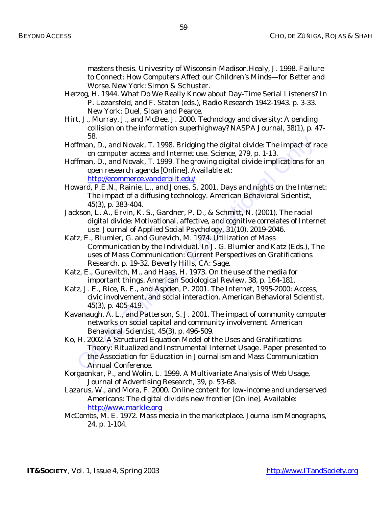masters thesis. Univesrity of Wisconsin-Madison.Healy, J. 1998. *Failure to Connect: How Computers Affect our Children's Minds—for Better and Worse.* New York: Simon & Schuster.

- Herzog, H. 1944. What Do We Really Know about Day-Time Serial Listeners? In P. Lazarsfeld, and F. Staton (eds.), *Radio Research 1942-1943.* p. 3-33*.*  New York: Duel, Sloan and Pearce.
- Hirt, J., Murray, J., and McBee, J. 2000. Technology and diversity: A pending collision on the information superhighway? *NASPA Journal, 38*(1), p. 47- 58.
- Hoffman, D., and Novak, T. 1998. Bridging the digital divide: The impact of race on computer access and Internet use. *Science, 279,* p. 1-13.
- Hoffman, D., and Novak, T. 1999. *The growing digital divide implications for an open research agenda* [Online]. Available at: http://ecommerce.vanderbilt.edu/
- Howard, P.E.N., Rainie, L., and Jones, S. 2001. Days and nights on the Internet: The impact of a diffusing technology. *American Behavioral Scientist, 45*(3), p. 383-404.
- Jackson, L. A., Ervin, K. S., Gardner, P. D., & Schmitt, N. (2001). The racial digital divide: Motivational, affective, and cognitive correlates of Internet use. *Journal of Applied Social Psychology, 31*(10), 2019-2046.
- Katz, E., Blumler, G. and Gurevich, M. 1974. Utilization of Mass Communication by the Individual. In J. G. Blumler and Katz (Eds.), *The uses of Mass Communication: Current Perspectives on Gratifications Research.* p. 19-32. Beverly Hills, CA: Sage.
- Katz, E., Gurevitch, M., and Haas, H. 1973. On the use of the media for important things. *American Sociological Review, 38*, p. 164-181.
- Katz, J. E., Rice, R. E., and Aspden, P. 2001. The Internet, 1995-2000: Access, civic involvement, and social interaction. *American Behavioral Scientist, 45*(3), p. 405-419.
- Kavanaugh, A. L., and Patterson, S. J. 2001. The impact of community computer networks on social capital and community involvement. *American Behavioral Scientist, 45*(3), p. 496-509.
- 36.<br>
Than, D., and Novak, T. 1998. Bridging the digital divide: The impact of ran computer access and Internet use. *Science, 279*, p. 1-13.<br>
Than, D., and Novak, T. 1999. The growing digital divide implications for .<br>
Ima Ko, H. 2002. *A Structural Equation Model of the Uses and Gratifications Theory: Ritualized and Instrumental Internet Usage*. Paper presented to the Association for Education in Journalism and Mass Communication Annual Conference.
- Korgaonkar, P., and Wolin, L. 1999. A Multivariate Analysis of Web Usage, *Journal of Advertising Research, 39,* p. 53-68.
- Lazarus, W., and Mora, F. 2000. *Online content for low-income and underserved Americans: The digital divide's new frontier* [Online]. Available: <http://www.markle.org>
- McCombs, M. E. 1972. Mass media in the marketplace. *Journalism Monographs, 24*, p. 1-104.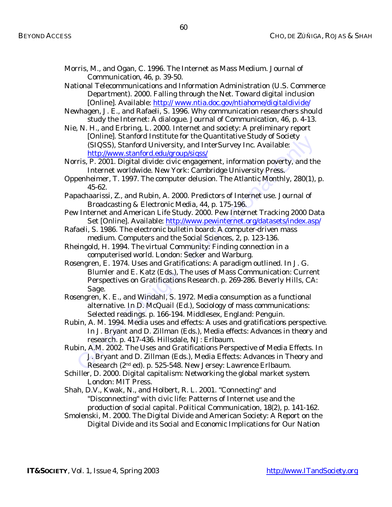- Morris, M., and Ogan, C. 1996. The Internet as Mass Medium. *Journal of Communication*, *46*, p. 39-50.
- National Telecommunications and Information Administration (U.S. Commerce Department). *2000. Falling through the Net. Toward digital inclusion*  [Online]. Available: [http:// www.ntia.doc.gov/ntiahome/digitaldivide/](http://www.ntia.doc.gov/ntiahome/digitaldivide/)
- Newhagen, J. E., and Rafaeli, S. 1996. Why communication researchers should study the Internet: A dialogue. *Journal of Communication, 46*, p. 4-13.
- Nie, N. H., and Erbring, L. 2000. *Internet and society: A preliminary report*  [Online]. Stanford Institute for the Quantitative Study of Society (SIQSS), Stanford University, and InterSurvey Inc. Available: http://www.stanford.edu/group/siqss/

Norris, P. 2001. *Digital divide: civic engagement, information poverty, and the Internet worldwide*. New York: Cambridge University Press.

- Oppenheimer, T. 1997. The computer delusion. *The Atlantic Monthly, 280*(1), p. 45-62.
- Papachaarissi, Z., and Rubin, A. 2000. Predictors of Internet use. *Journal of Broadcasting & Electronic Media, 44*, p. 175-196.
- Pew Internet and American Life Study. 2000. *Pew Internet Tracking 2000 Data Set* [Online]. Available: http://www.pewinternet.org/datasets/index.asp/
- Rafaeli, S. 1986. The electronic bulletin board: A computer-driven mass medium. *Computers and the Social Sciences, 2*, p. 123-136.
- Rheingold, H. 1994. The *virtual Community: Finding connection in a computerised world.* London: Secker and Warburg.
- ordine). Stational institute for the Quantuative study of society<br>
SIQSS), Stanford University, and InterSurvey Inc. Available:<br>
http://www.stanford.edu/group/sigss/<br>
rris, P. 2001. Digital divide: civte eggegement, inform Rosengren, E. 1974. Uses and Gratifications: A paradigm outlined. In J. G. Blumler and E. Katz (Eds.), *The uses of Mass Communication: Current Perspectives on Gratifications Research.* p. 269-286. Beverly Hills, CA: Sage.
- Rosengren, K. E., and Windahl, S. 1972. Media consumption as a functional alternative. In D. McQuail (Ed.), *Sociology of mass communications: Selected readings.* p. 166-194. Middlesex, England: Penguin.
- Rubin, A. M. 1994. Media uses and effects: A uses and gratification*s* perspective. In J. Bryant and D. Zillman (Eds.), *Media effects: Advances in theory and research.* p. 417-436. Hillsdale, NJ: Erlbaum.
- Rubin, A.M. 2002. The Uses and Gratifications Perspective of Media Effects. In J. Bryant and D. Zillman (Eds.), *Media Effects: Advances in Theory and Research* (2nd ed). p. 525-548. New Jersey: Lawrence Erlbaum.
- Schiller, D. 2000. *Digital capitalism: Networking the global market system*. London: MIT Press.
- Shah, D.V., Kwak, N., and Holbert, R. L. 2001. "Connecting" and "Disconnecting" with civic life: Patterns of Internet use and the production of social capital. *Political Communication, 18*(2), p. 141-162.
- Smolenski, M. 2000. *The Digital Divide and American Society: A Report on the Digital Divide and its Social and Economic Implications for Our Nation*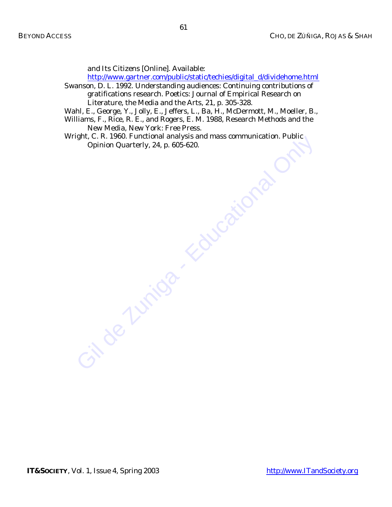*and Its Citizens* [Online]. Available:

[http://www.gartner.com/public/static/techies/digital\\_d/dividehome.html](http://www.gartner.com/public/static/techies/digital_d/dividehome.html)

Swanson, D. L. 1992. Understanding audiences: Continuing contributions of gratifications research. *Poetics: Journal of Empirical Research on Literature, the Media and the Arts, 21*, p. 305-328.

Wahl, E., George, Y., Jolly, E., Jeffers, L., Ba, H., McDermott, M., Moeller, B.,

Williams, F., Rice, R. E., and Rogers, E. M. 1988, *Research Methods and the New Media,* New York: Free Press.

Gil de Zuitland analysis and mass communication. Public Opinion Quarterly, 24, p. 605-620. Wright, C. R. 1960. Functional analysis and mass communication. *Public Opinion Quarterly, 24*, p. 605-620.

**IT&SOCIETY**, Vol. 1, Issue 4, Spring 2003 <http://www.ITandSociety.org>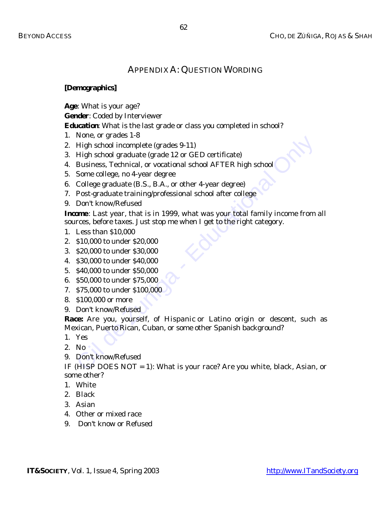## APPENDIX A: QUESTION WORDING

## **[Demographics]**

**Age**: What is your age?

**Gender**: Coded by Interviewer

**Education**: What is the last grade or class you completed in school?

- 1. None, or grades 1-8
- 2. High school incomplete (grades 9-11)
- 3. High school graduate (grade 12 or GED certificate)
- 4. Business, Technical, or vocational school AFTER high school
- 5. Some college, no 4-year degree
- 6. College graduate (B.S., B.A., or other 4-year degree)
- 7. Post-graduate training/professional school after college
- 9. Don't know/Refused

**Income**: Last year, that is in 1999, what was your total family income from all sources, before taxes. Just stop me when I get to the right category.

- 1. Less than \$10,000
- 2. \$10,000 to under \$20,000
- 3. \$20,000 to under \$30,000
- 4. \$30,000 to under \$40,000
- 5. \$40,000 to under \$50,000
- 6. \$50,000 to under \$75,000
- 7. \$75,000 to under \$100,000
- 8. \$100,000 or more
- 9. Don't know/Refused

Fugh school incomplete (grades 9-11)<br>High school incomplete (grades 9-11)<br>High school graduate (grades 12 or GED certificate)<br>Business, Technical, or vocational school AFTER high school<br>College graduate (B.S., B.A., or oth **Race:** Are you, yourself, of Hispanic or Latino origin or descent, such as Mexican, Puerto Rican, Cuban, or some other Spanish background?

- 1. Yes
- 2. No
- 9. Don't know/Refused

IF (HISP DOES NOT = 1): What is your race? Are you white, black, Asian, or some other?

- 1. White
- 2. Black
- 3. Asian
- 4. Other or mixed race
- 9. Don't know or Refused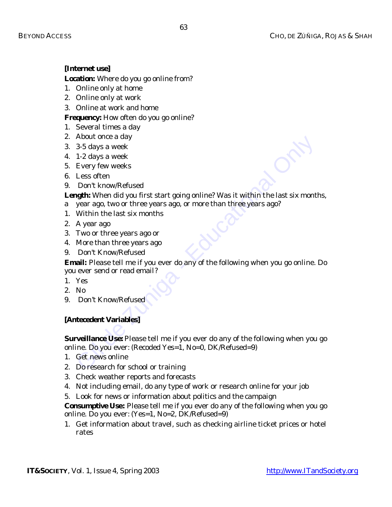## **[Internet use]**

**Location:** Where do you go online from?

- 1. Online only at home
- 2. Online only at work
- 3. Online at work and home

**Frequency:** How often do you go online?

- 1. Several times a day
- 2. About once a day
- 3. 3-5 days a week
- 4. 1-2 days a week
- 5. Every few weeks
- 6. Less often
- 9. Don't know/Refused

Length: When did you first start going online? Was it within the last six months,

- a year ago, two or three years ago, or more than three years ago?
- 1. Within the last six months
- 2. A year ago
- 3. Two or three years ago or
- 4. More than three years ago
- 9. Don't Know/Refused

**Email:** Please tell me if you ever do any of the following when you go online. Do you ever send or read email?

- 1. Yes
- 2. No
- 9. Don't Know/Refused

## **[Antecedent Variables]**

Moout once a day<br>
3-5 days a week<br>
1-2 days a week<br>
Every few weeks<br>
Every few weeks<br>
Ebory few weeks<br>
Don't know/Refused<br>
Don't know/Refused<br>
19th: Which did you first start going online? Was it within the last six mont<br> **Surveillance Use:** Please tell me if you ever do any of the following when you go online. Do you ever: (Recoded Yes=1, No=0, DK/Refused=9)

- 1. Get news online
- 2. Do research for school or training
- 3. Check weather reports and forecasts
- 4. Not including email, do any type of work or research online for your job
- 5. Look for news or information about politics and the campaign

**Consumptive Use:** Please tell me if you ever do any of the following when you go online. Do you ever: (Yes=1, No=2, DK/Refused=9)

1. Get information about travel, such as checking airline ticket prices or hotel rates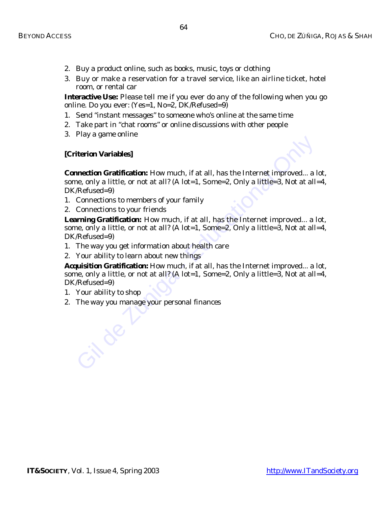- 2. Buy a product online, such as books, music, toys or clothing
- 3. Buy or make a reservation for a travel service, like an airline ticket, hotel room, or rental car

**Interactive Use:** Please tell me if you ever do any of the following when you go online. Do you ever: (Yes=1, No=2, DK/Refused=9)

- 1. Send "instant messages" to someone who's online at the same time
- 2. Take part in "chat rooms" or online discussions with other people
- 3. Play a game online

## **[Criterion Variables]**

iterion Variables]<br>
iterion Cratification: How much, if at all, has the Internet improved... a<br>
he, only a little, or not at all? (A lot=1, Some=2, Only a little=3, Not at all.<br>
Refused=9)<br>
Connections to members of your f **Connection Gratification:** How much, if at all, has the Internet improved... a lot, some, only a little, or not at all? (A lot=1, Some=2, Only a little=3, Not at all=4, DK/Refused=9)

- 1. Connections to members of your family
- 2. Connections to your friends

**Learning Gratification:** How much, if at all, has the Internet improved... a lot, some, only a little, or not at all? (A lot=1, Some=2, Only a little=3, Not at all=4, DK/Refused=9)

- 1. The way you get information about health care
- 2. Your ability to learn about new things

**Acquisition Gratification:** How much, if at all, has the Internet improved... a lot, some, only a little, or not at all? (A lot=1, Some=2, Only a little=3, Not at all=4, DK/Refused=9)

- 1. Your ability to shop
- 2. The way you manage your personal finances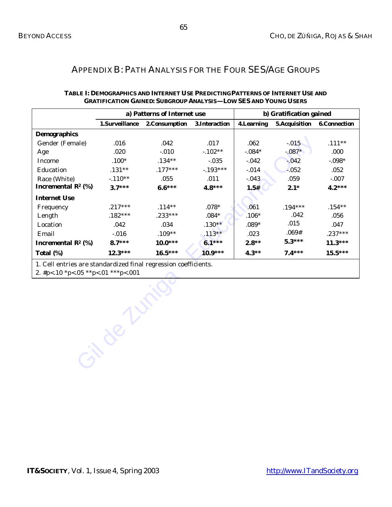## APPENDIX B: PATH ANALYSIS FOR THE FOUR SES/AGE GROUPS

|                                |                | a) Patterns of Internet use |                | b) Gratification gained |                      |                     |
|--------------------------------|----------------|-----------------------------|----------------|-------------------------|----------------------|---------------------|
|                                | 1.Surveillance | 2. Consumption              | 3. Interaction | <b>4.Learning</b>       | <b>5.Acquisition</b> | <b>6.Connection</b> |
| <b>Demographics</b>            |                |                             |                |                         |                      |                     |
| Gender (Female)                | .016           | .042                        | .017           | .062                    | $-.015$              | $.111**$            |
| Age                            | .020           | $-.010$                     | $-102**$       | $-0.084*$               | $-.087*$             | .000                |
| Income                         | $.100*$        | $.134**$                    | $-.035$        | $-0.042$                | $-0.042$             | $-0.098*$           |
| Education                      | $.131**$       | $.177***$                   | $-193***$      | $-0.014$                | $-0.52$              | .052                |
| Race (White)                   | $-110**$       | .055                        | .011           | $-0.043$                | .059                 | $-.007$             |
| Incremental $\mathbb{R}^2$ (%) | $3.7***$       | $6.6***$                    | $4.8***$       | 1.5#                    | $2.1*$               | $4.2***$            |
| <b>Internet Use</b>            |                |                             |                |                         |                      |                     |
| Frequency                      | $.217***$      | $.114**$                    | $.078*$        | .061                    | $.194***$            | $.154**$            |
| Length                         | $.182***$      | $.233***$                   | $.084*$        | $.106*$                 | .042                 | .056                |
| Location                       | .042           | .034                        | $.130**$       | $.089*$                 | .015                 | .047                |
| Email                          | $-.016$        | $.109**$                    | $.113**$       | .023                    | .069#                | $.237***$           |
| Incremental $\mathbb{R}^2$ (%) | $8.7***$       | $10.0***$                   | $6.1***$       | $2.8**$                 | $5.3***$             | $11.3***$           |
| Total (%)                      | $12.3***$      | $16.5***$                   | $10.9***$      | $4.3**$                 | $7.4***$             | $15.5***$           |

## **TABLE I: DEMOGRAPHICS AND INTERNET USE PREDICTING PATTERNS OF INTERNET USE AND GRATIFICATION GAINED: SUBGROUP ANALYSIS—LOW SES AND YOUNG USERS**

*1. Cell entries are standardized final regression coefficients.*

Gil de Zuni

*2. #p<.10 \*p<.05 \*\*p<.01 \*\*\*p<.001*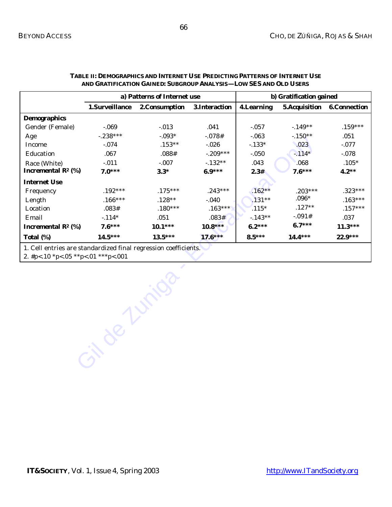|                                                                 |                | a) Patterns of Internet use |                | b) Gratification gained |                       |                     |
|-----------------------------------------------------------------|----------------|-----------------------------|----------------|-------------------------|-----------------------|---------------------|
|                                                                 | 1.Surveillance | 2. Consumption              | 3. Interaction | <b>4.Learning</b>       | <b>5. Acquisition</b> | <b>6.Connection</b> |
| <b>Demographics</b>                                             |                |                             |                |                         |                       |                     |
| Gender (Female)                                                 | $-.069$        | $-0.013$                    | .041           | $-.057$                 | $-149**$              | $.159***$           |
| Age                                                             | $-.238***$     | $-0.093*$                   | $-0.078#$      | $-063$                  | $-150**$              | .051                |
| Income                                                          | $-.074$        | $.153**$                    | $-.026$        | $-133*$                 | .023                  | $-.077$             |
| Education                                                       | .067           | .088#                       | $-.209***$     | $-.050$                 | $-114*$               | $-0.078$            |
| Race (White)                                                    | $-.011$        | $-.007$                     | $-132**$       | .043                    | .068                  | $.105*$             |
| Incremental $\mathbb{R}^2$ (%)                                  | $7.0***$       | $3.3*$                      | $6.9***$       | 2.3#                    | $7.6***$              | $4.2**$             |
| <b>Internet Use</b>                                             |                |                             |                |                         |                       |                     |
| Frequency                                                       | $.192***$      | $.175***$                   | $.243***$      | $.162**$                | $.203***$             | $.323***$           |
| Length                                                          | $.166***$      | $.128**$                    | $-.040$        | $.131**$                | $.096*$               | $.163***$           |
| Location                                                        | .083#          | $.180***$                   | $.163***$      | $.115*$                 | $.127**$              | $.157***$           |
| Email                                                           | $-114*$        | .051                        | .083#          | $-143**$                | $-.091#$              | .037                |
| Incremental $\mathbb{R}^2$ (%)                                  | $7.6***$       | $10.1***$                   | $10.8***$      | $6.2***$                | $6.7***$              | $11.3***$           |
| Total (%)                                                       | $14.5***$      | $13.5***$                   | $17.6***$      | $8.5***$                | $14.4***$             | $22.9***$           |
| 1. Cell entries are standardized final regression coefficients. |                |                             |                |                         |                       |                     |

### **TABLE II: DEMOGRAPHICS AND INTERNET USE PREDICTING PATTERNS OF INTERNET USE AND GRATIFICATION GAINED: SUBGROUP ANALYSIS—LOW SES AND OLD USERS**

Gilde Zuniga *2. #p<.10 \*p<.05 \*\*p<.01 \*\*\*p<.001*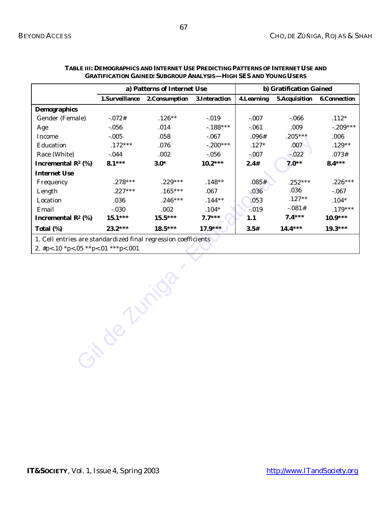|                                                                | a) Patterns of Internet Use |               |                |                   | b) Gratification Gained |                     |
|----------------------------------------------------------------|-----------------------------|---------------|----------------|-------------------|-------------------------|---------------------|
|                                                                | 1.Surveillance              | 2.Consumption | 3. Interaction | <b>4.Learning</b> | 5. Acquisition          | <b>6.Connection</b> |
| <b>Demographics</b>                                            |                             |               |                |                   |                         |                     |
| Gender (Female)                                                | $-.072#$                    | $.126**$      | $-0.019$       | $-.007$           | $-066$                  | $.112*$             |
| Age                                                            | $-0.056$                    | .014          | $-188***$      | $-.061$           | .009                    | $-.209***$          |
| Income                                                         | $-.005$                     | .058          | $-067$         | .096#             | $.205***$               | .006                |
| Education                                                      | $.172***$                   | .076          | $-.200***$     | $.127*$           | .007                    | $.129**$            |
| Race (White)                                                   | $-0.044$                    | .002          | $-0.056$       | $-.007$           | $-0.022$                | .073#               |
| Incremental $\mathbb{R}^2$ (%)                                 | $8.1***$                    | $3.0*$        | $10.2***$      | 2.4#              | $7.0**$                 | $8.4***$            |
| <b>Internet Use</b>                                            |                             |               |                |                   |                         |                     |
| Frequency                                                      | $.278***$                   | $.229***$     | $.148**$       | .085#             | $.252***$               | $.226***$           |
| Length                                                         | $.227***$                   | $.165***$     | .067           | .036              | .036                    | $-.067$             |
| Location                                                       | .036                        | $.246***$     | $.144**$       | .053              | $.127**$                | $.104*$             |
| Email                                                          | $-.030$                     | .002          | $.104*$        | $-0.019$          | $-.081#$                | $.179***$           |
| Incremental $\mathbb{R}^2$ (%)                                 | $15.1***$                   | $15.5***$     | $7.7***$       | 1.1               | $7.4***$                | $10.9***$           |
| Total (%)                                                      | $23.2***$                   | $18.5***$     | $17.9***$      | 3.5#              | $14.4***$               | $19.3***$           |
| 1. Cell entries are standardized final regression coefficients |                             |               |                |                   |                         |                     |
| 2. #p<.10 *p<.05 **p<.01 ***p<.001                             |                             |               |                |                   |                         |                     |
|                                                                |                             |               |                |                   |                         |                     |
|                                                                |                             |               |                |                   |                         |                     |
|                                                                |                             |               |                |                   |                         |                     |
|                                                                |                             |               |                |                   |                         |                     |
|                                                                |                             |               |                |                   |                         |                     |
|                                                                |                             |               |                |                   |                         |                     |
|                                                                |                             |               |                |                   |                         |                     |
|                                                                |                             |               |                |                   |                         |                     |
|                                                                |                             |               |                |                   |                         |                     |
|                                                                |                             |               |                |                   |                         |                     |

### **TABLE III: DEMOGRAPHICS AND INTERNET USE PREDICTING PATTERNS OF INTERNET USE AND GRATIFICATION GAINED: SUBGROUP ANALYSIS—HIGH SES AND YOUNG USERS**

**IT&SOCIETY**, Vol. 1, Issue 4, Spring 2003 <http://www.ITandSociety.org>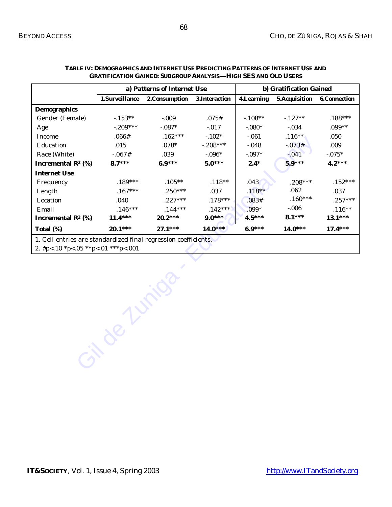|                                                                 | a) Patterns of Internet Use |                |                | b) Gratification Gained |                      |                     |
|-----------------------------------------------------------------|-----------------------------|----------------|----------------|-------------------------|----------------------|---------------------|
|                                                                 | 1.Surveillance              | 2. Consumption | 3. Interaction | <b>4.Learning</b>       | <b>5.Acquisition</b> | <b>6.Connection</b> |
| <b>Demographics</b>                                             |                             |                |                |                         |                      |                     |
| Gender (Female)                                                 | $-153**$                    | $-.009$        | .075#          | $-108**$                | $-127**$             | $.188***$           |
| Age                                                             | $-.209***$                  | $-.087*$       | $-0.017$       | $-.080*$                | $-0.034$             | $.099**$            |
| Income                                                          | .066#                       | $.162***$      | $-102*$        | $-.061$                 | $.116**$             | .050                |
| Education                                                       | .015                        | $.078*$        | $-.208***$     | $-0.048$                | $-.073#$             | .009                |
| Race (White)                                                    | $-.067#$                    | .039           | $-.096*$       | $-.097*$                | $-041$               | $-0.075*$           |
| Incremental $\mathbb{R}^2$ (%)                                  | $8.7***$                    | $6.9***$       | $5.0***$       | $2.4*$                  | $5.9***$             | $4.2***$            |
| <b>Internet Use</b>                                             |                             |                |                |                         |                      |                     |
| Frequency                                                       | $.189***$                   | $.105***$      | $.118**$       | .043                    | $.208***$            | $.152***$           |
| Length                                                          | $.167***$                   | $.250***$      | .037           | $.118**$                | .062                 | .037                |
| Location                                                        | .040                        | $.227***$      | $.178***$      | .083#                   | $.160***$            | $.257***$           |
| Email                                                           | $.146***$                   | $.144***$      | $.142***$      | $.099*$                 | $-0.006$             | $.116**$            |
| Incremental $\mathbb{R}^2$ (%)                                  | $11.4***$                   | $20.2***$      | $9.0***$       | $4.5***$                | $8.1***$             | $13.1***$           |
| Total (%)                                                       | $20.1***$                   | $27.1***$      | $14.0***$      | $6.9***$                | $14.0***$            | $17.4***$           |
| 1. Cell entries are standardized final regression coefficients. |                             |                |                |                         |                      |                     |
| 2. #p<.10 *p<.05 **p<.01 ***p<.001                              |                             |                |                |                         |                      |                     |
|                                                                 |                             |                |                |                         |                      |                     |
|                                                                 |                             |                |                |                         |                      |                     |
|                                                                 |                             |                |                |                         |                      |                     |
|                                                                 |                             |                |                |                         |                      |                     |
|                                                                 |                             |                |                |                         |                      |                     |
|                                                                 |                             |                |                |                         |                      |                     |
|                                                                 |                             |                |                |                         |                      |                     |
|                                                                 |                             |                |                |                         |                      |                     |
|                                                                 |                             |                |                |                         |                      |                     |
|                                                                 |                             |                |                |                         |                      |                     |
|                                                                 |                             |                |                |                         |                      |                     |

## **TABLE IV: DEMOGRAPHICS AND INTERNET USE PREDICTING PATTERNS OF INTERNET USE AND GRATIFICATION GAINED: SUBGROUP ANALYSIS—HIGH SES AND OLD USERS**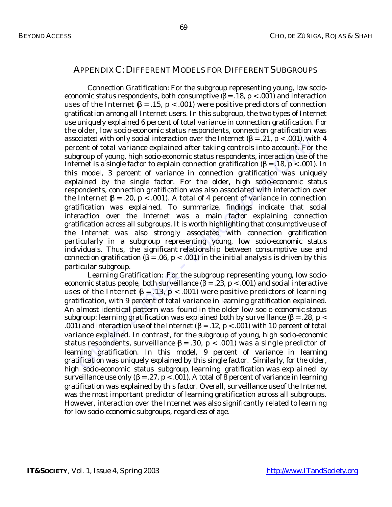## APPENDIX C:DIFFERENT MODELS FOR DIFFERENT SUBGROUPS

ociated with only social interaction over the Internet (β = .21, p < .001), with<br>egroup of young, high socio-economic status respondents, interaction use of<br>forgaroup of young, high socio-economic status respondents, int *Connection Gratification:* For the subgroup representing young, low socioeconomic status respondents, both consumptive  $(\beta = .18, p < .001)$  and interaction uses of the Internet  $\beta = .15$ , p < .001) were positive predictors of connection gratification among all Internet users. In this subgroup, the two types of Internet use uniquely explained 6 percent of total variance in connection gratification. For the older, low socio-economic status respondents, connection gratification was associated with only social interaction over the Internet ( $\beta = .21$ ,  $p < .001$ ), with 4 percent of total variance explained after taking controls into account. For the subgroup of young, high socio-economic status respondents, interaction use of the Internet is a single factor to explain connection gratification ( $\beta = .18$ ,  $p < .001$ ). In this model, 3 percent of variance in connection gratification was uniquely explained by the single factor. For the older, high socio-economic status respondents, connection gratification was also associated with interaction over the Internet  $\beta$  = .20, p < .001). A total of 4 percent of variance in connection gratification was explained. To summarize, findings indicate that social interaction over the Internet was a main factor explaining connection gratification across all subgroups. It is worth highlighting that consumptive use of the Internet was also strongly associated with connection gratification particularly in a subgroup representing young, low socio-economic status individuals. Thus, the significant relationship between consumptive use and connection gratification (β = .06, p < .001) in the initial analysis is driven by this particular subgroup.

*Learning Gratification:* For the subgroup representing young, low socioeconomic status people, both surveillance (β = .23, p < .001) and social interactive uses of the Internet  $\beta = .13$ , p < .001) were positive predictors of learning gratification, with 9 percent of total variance in learning gratification explained. An almost identical pattern was found in the older low socio-economic status subgroup: learning gratification was explained both by surveillance  $(\beta = .28, p <$ .001) and interaction use of the Internet ( $\beta = .12$ ,  $p < .001$ ) with 10 percent of total variance explained. In contrast, for the subgroup of young, high socio-economic status respondents, surveillance  $\beta = .30$ , p < .001) was a single predictor of learning gratification. In this model, 9 percent of variance in learning gratification was uniquely explained by this single factor. Similarly, for the older, high socio-economic status subgroup, learning gratification was explained by surveillance use only ( $\beta = .27$ ,  $p < .001$ ). A total of 8 percent of variance in learning gratification was explained by this factor. Overall, surveillance use of the Internet was the most important predictor of learning gratification across all subgroups. However, interaction over the Internet was also significantly related to learning for low socio-economic subgroups, regardless of age.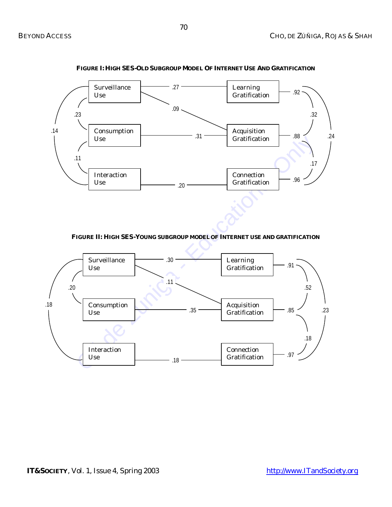

**FIGURE I: HIGH SES-OLD SUBGROUP MODEL OF INTERNET USE AND GRATIFICATION**

**FIGURE II: HIGH SES-YOUNG SUBGROUP MODEL OF INTERNET USE AND GRATIFICATION**

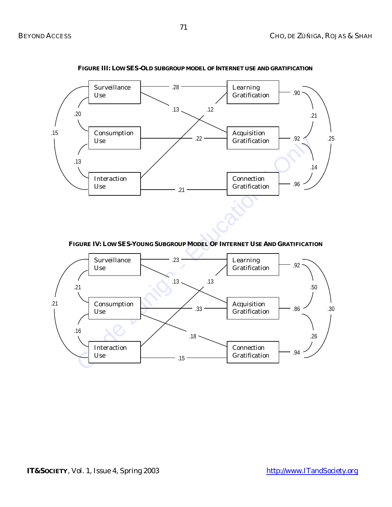

**FIGURE III: LOW SES-OLD SUBGROUP MODEL OFINTERNET USE AND GRATIFICATION**

**FIGURE IV: LOW SES-YOUNG SUBGROUP MODEL OF INTERNET USE AND GRATIFICATION**